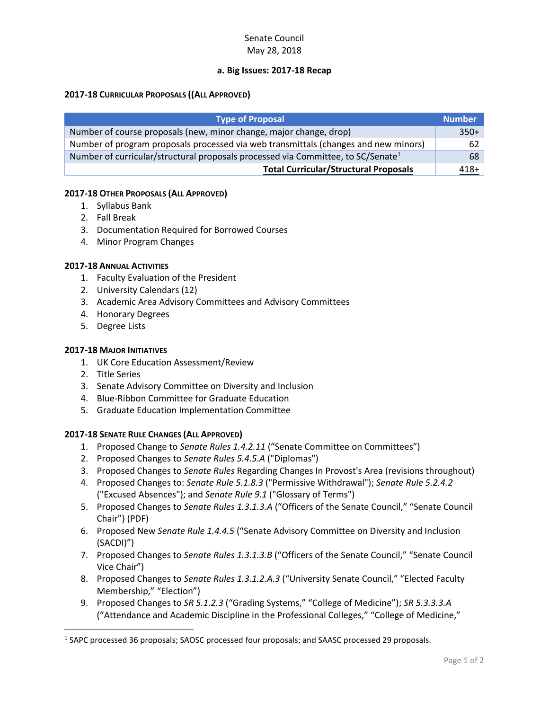# Senate Council May 28, 2018

# **a. Big Issues: 2017-18 Recap**

### **2017-18 CURRICULAR PROPOSALS ((ALL APPROVED)**

| Type of Proposal                                                                             | <b>Number</b> |
|----------------------------------------------------------------------------------------------|---------------|
| Number of course proposals (new, minor change, major change, drop)                           | $350+$        |
| Number of program proposals processed via web transmittals (changes and new minors)          | 62            |
| Number of curricular/structural proposals processed via Committee, to SC/Senate <sup>1</sup> | 68            |
| <b>Total Curricular/Structural Proposals</b>                                                 | $418+$        |

### **2017-18 OTHER PROPOSALS (ALL APPROVED)**

- 1. Syllabus Bank
- 2. Fall Break
- 3. Documentation Required for Borrowed Courses
- 4. Minor Program Changes

### **2017-18 ANNUAL ACTIVITIES**

- 1. Faculty Evaluation of the President
- 2. University Calendars (12)
- 3. Academic Area Advisory Committees and Advisory Committees
- 4. Honorary Degrees
- 5. Degree Lists

### **2017-18 MAJOR INITIATIVES**

- 1. UK Core Education Assessment/Review
- 2. Title Series

 $\overline{\phantom{a}}$ 

- 3. Senate Advisory Committee on Diversity and Inclusion
- 4. Blue-Ribbon Committee for Graduate Education
- 5. Graduate Education Implementation Committee

# **2017-18 SENATE RULE CHANGES (ALL APPROVED)**

- 1. Proposed Change to *Senate Rules 1.4.2.11* ("Senate Committee on Committees")
- 2. Proposed Changes to *Senate Rules 5.4.5.A* ("Diplomas")
- 3. Proposed Changes to *Senate Rules* Regarding Changes In Provost's Area (revisions throughout)
- 4. Proposed Changes to: *Senate Rule 5.1.8.3* ("Permissive Withdrawal"); *Senate Rule 5.2.4.2* ("Excused Absences"); and *Senate Rule 9.1* ("Glossary of Terms")
- 5. Proposed Changes to *Senate Rules 1.3.1.3.A* ("Officers of the Senate Council," "Senate Council Chair") (PDF)
- 6. Proposed New *Senate Rule 1.4.4.5* ("Senate Advisory Committee on Diversity and Inclusion (SACDI)")
- 7. Proposed Changes to *Senate Rules 1.3.1.3.B* ("Officers of the Senate Council," "Senate Council Vice Chair")
- 8. Proposed Changes to *Senate Rules 1.3.1.2.A.3* ("University Senate Council," "Elected Faculty Membership," "Election")
- 9. Proposed Changes to *SR 5.1.2.3* ("Grading Systems," "College of Medicine"); *SR 5.3.3.3.A* ("Attendance and Academic Discipline in the Professional Colleges," "College of Medicine,"

<sup>&</sup>lt;sup>1</sup> SAPC processed 36 proposals; SAOSC processed four proposals; and SAASC processed 29 proposals.